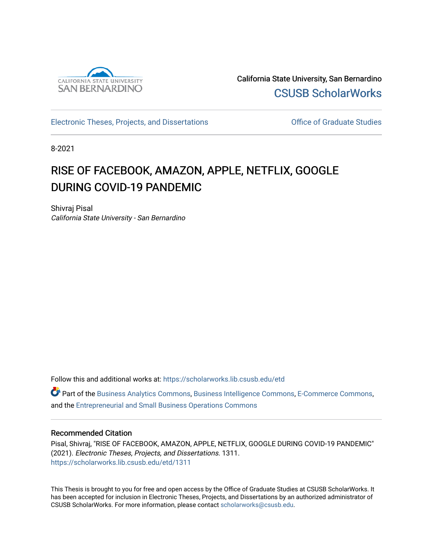

California State University, San Bernardino [CSUSB ScholarWorks](https://scholarworks.lib.csusb.edu/) 

[Electronic Theses, Projects, and Dissertations](https://scholarworks.lib.csusb.edu/etd) **Electronic Studies** Office of Graduate Studies

8-2021

# RISE OF FACEBOOK, AMAZON, APPLE, NETFLIX, GOOGLE DURING COVID-19 PANDEMIC

Shivraj Pisal California State University - San Bernardino

Follow this and additional works at: [https://scholarworks.lib.csusb.edu/etd](https://scholarworks.lib.csusb.edu/etd?utm_source=scholarworks.lib.csusb.edu%2Fetd%2F1311&utm_medium=PDF&utm_campaign=PDFCoverPages) 

Part of the [Business Analytics Commons](http://network.bepress.com/hgg/discipline/1398?utm_source=scholarworks.lib.csusb.edu%2Fetd%2F1311&utm_medium=PDF&utm_campaign=PDFCoverPages), [Business Intelligence Commons](http://network.bepress.com/hgg/discipline/1326?utm_source=scholarworks.lib.csusb.edu%2Fetd%2F1311&utm_medium=PDF&utm_campaign=PDFCoverPages), [E-Commerce Commons,](http://network.bepress.com/hgg/discipline/624?utm_source=scholarworks.lib.csusb.edu%2Fetd%2F1311&utm_medium=PDF&utm_campaign=PDFCoverPages) and the [Entrepreneurial and Small Business Operations Commons](http://network.bepress.com/hgg/discipline/630?utm_source=scholarworks.lib.csusb.edu%2Fetd%2F1311&utm_medium=PDF&utm_campaign=PDFCoverPages) 

#### Recommended Citation

Pisal, Shivraj, "RISE OF FACEBOOK, AMAZON, APPLE, NETFLIX, GOOGLE DURING COVID-19 PANDEMIC" (2021). Electronic Theses, Projects, and Dissertations. 1311. [https://scholarworks.lib.csusb.edu/etd/1311](https://scholarworks.lib.csusb.edu/etd/1311?utm_source=scholarworks.lib.csusb.edu%2Fetd%2F1311&utm_medium=PDF&utm_campaign=PDFCoverPages) 

This Thesis is brought to you for free and open access by the Office of Graduate Studies at CSUSB ScholarWorks. It has been accepted for inclusion in Electronic Theses, Projects, and Dissertations by an authorized administrator of CSUSB ScholarWorks. For more information, please contact [scholarworks@csusb.edu](mailto:scholarworks@csusb.edu).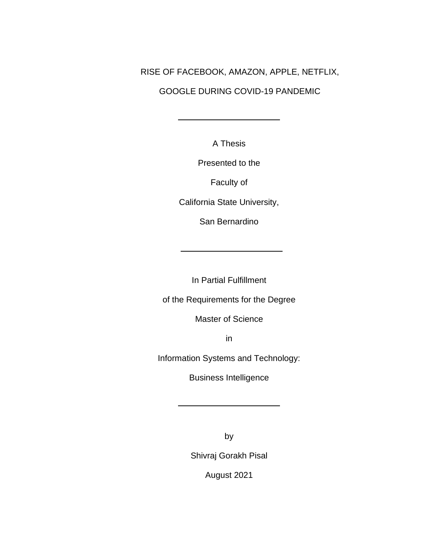# RISE OF FACEBOOK, AMAZON, APPLE, NETFLIX,

# GOOGLE DURING COVID-19 PANDEMIC

A Thesis

Presented to the

Faculty of

California State University,

San Bernardino

In Partial Fulfillment

of the Requirements for the Degree

Master of Science

in

Information Systems and Technology:

Business Intelligence

by

Shivraj Gorakh Pisal

August 2021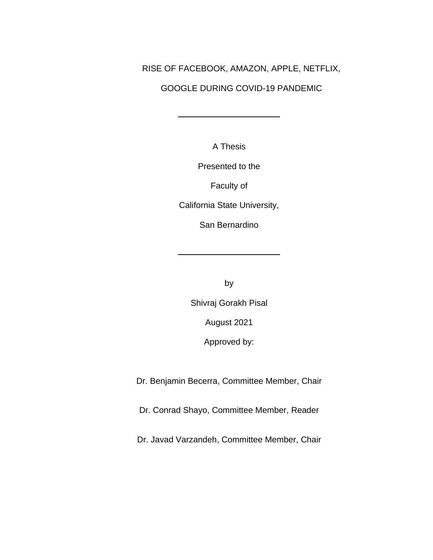# RISE OF FACEBOOK, AMAZON, APPLE, NETFLIX,

# GOOGLE DURING COVID-19 PANDEMIC

A Thesis

Presented to the

Faculty of

California State University,

San Bernardino

by

Shivraj Gorakh Pisal

August 2021

Approved by:

Dr. Benjamin Becerra, Committee Member, Chair

Dr. Conrad Shayo, Committee Member, Reader

Dr. Javad Varzandeh, Committee Member, Chair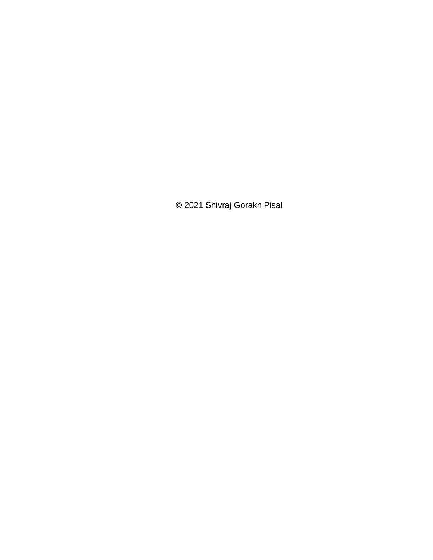© 2021 Shivraj Gorakh Pisal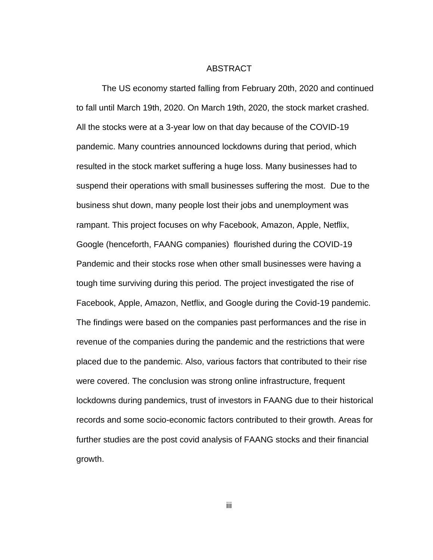#### ABSTRACT

The US economy started falling from February 20th, 2020 and continued to fall until March 19th, 2020. On March 19th, 2020, the stock market crashed. All the stocks were at a 3-year low on that day because of the COVID-19 pandemic. Many countries announced lockdowns during that period, which resulted in the stock market suffering a huge loss. Many businesses had to suspend their operations with small businesses suffering the most. Due to the business shut down, many people lost their jobs and unemployment was rampant. This project focuses on why Facebook, Amazon, Apple, Netflix, Google (henceforth, FAANG companies) flourished during the COVID-19 Pandemic and their stocks rose when other small businesses were having a tough time surviving during this period. The project investigated the rise of Facebook, Apple, Amazon, Netflix, and Google during the Covid-19 pandemic. The findings were based on the companies past performances and the rise in revenue of the companies during the pandemic and the restrictions that were placed due to the pandemic. Also, various factors that contributed to their rise were covered. The conclusion was strong online infrastructure, frequent lockdowns during pandemics, trust of investors in FAANG due to their historical records and some socio-economic factors contributed to their growth. Areas for further studies are the post covid analysis of FAANG stocks and their financial growth.

iii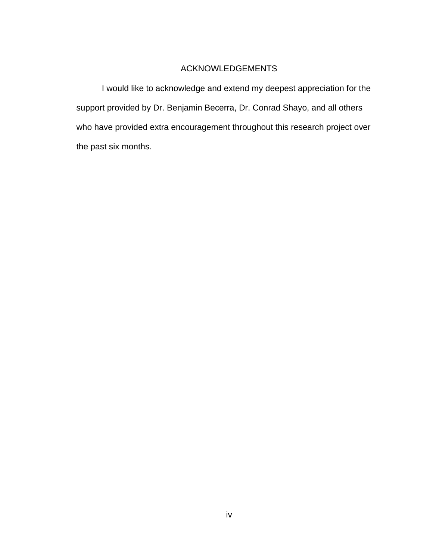### ACKNOWLEDGEMENTS

I would like to acknowledge and extend my deepest appreciation for the support provided by Dr. Benjamin Becerra, Dr. Conrad Shayo, and all others who have provided extra encouragement throughout this research project over the past six months.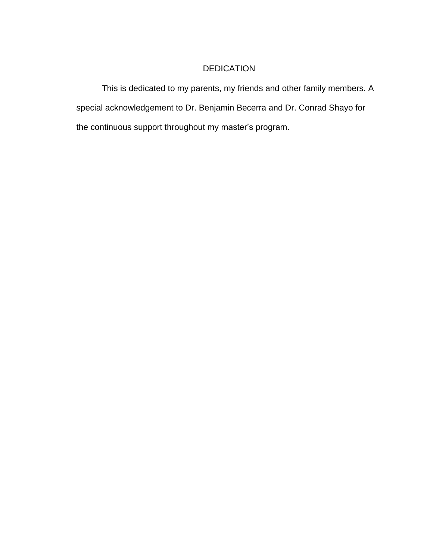# DEDICATION

This is dedicated to my parents, my friends and other family members. A special acknowledgement to Dr. Benjamin Becerra and Dr. Conrad Shayo for the continuous support throughout my master's program.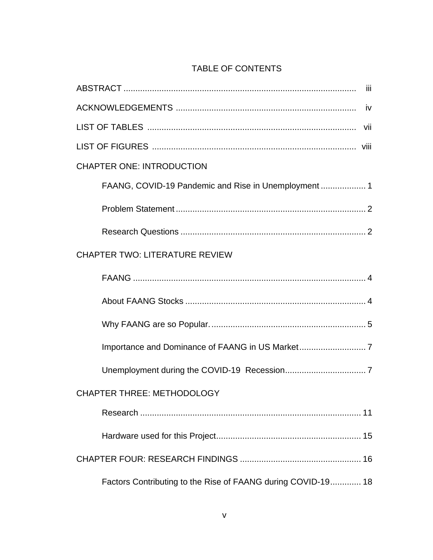# TABLE OF CONTENTS

| iii                                                          |
|--------------------------------------------------------------|
| - iv                                                         |
|                                                              |
|                                                              |
| <b>CHAPTER ONE: INTRODUCTION</b>                             |
|                                                              |
|                                                              |
|                                                              |
| <b>CHAPTER TWO: LITERATURE REVIEW</b>                        |
|                                                              |
|                                                              |
|                                                              |
|                                                              |
|                                                              |
| <b>CHAPTER THREE: METHODOLOGY</b>                            |
|                                                              |
|                                                              |
|                                                              |
| Factors Contributing to the Rise of FAANG during COVID-19 18 |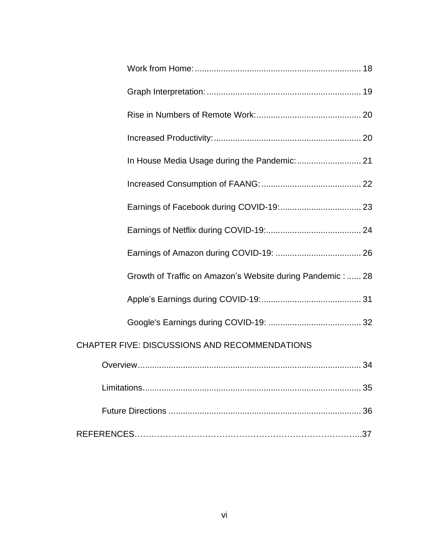| Growth of Traffic on Amazon's Website during Pandemic: 28 |
|-----------------------------------------------------------|
|                                                           |
|                                                           |
| CHAPTER FIVE: DISCUSSIONS AND RECOMMENDATIONS             |
|                                                           |
|                                                           |
|                                                           |
|                                                           |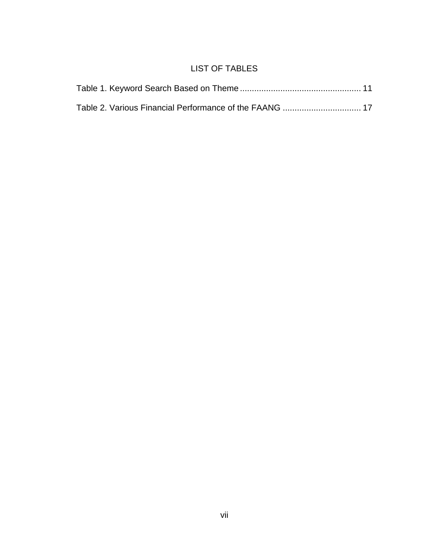# LIST OF TABLES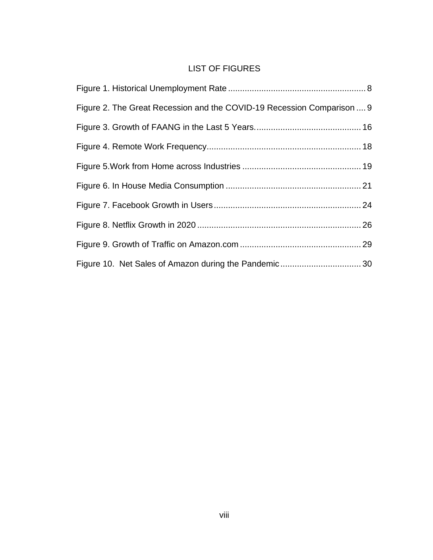# LIST OF FIGURES

| Figure 2. The Great Recession and the COVID-19 Recession Comparison  9 |  |
|------------------------------------------------------------------------|--|
|                                                                        |  |
|                                                                        |  |
|                                                                        |  |
|                                                                        |  |
|                                                                        |  |
|                                                                        |  |
|                                                                        |  |
|                                                                        |  |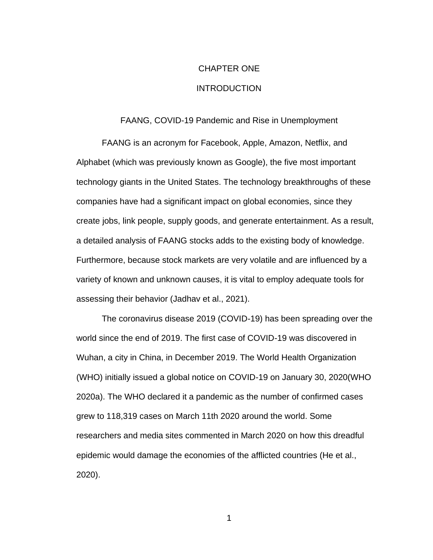# CHAPTER ONE **INTRODUCTION**

#### FAANG, COVID-19 Pandemic and Rise in Unemployment

FAANG is an acronym for Facebook, Apple, Amazon, Netflix, and Alphabet (which was previously known as Google), the five most important technology giants in the United States. The technology breakthroughs of these companies have had a significant impact on global economies, since they create jobs, link people, supply goods, and generate entertainment. As a result, a detailed analysis of FAANG stocks adds to the existing body of knowledge. Furthermore, because stock markets are very volatile and are influenced by a variety of known and unknown causes, it is vital to employ adequate tools for assessing their behavior (Jadhav et al., 2021).

The coronavirus disease 2019 (COVID-19) has been spreading over the world since the end of 2019. The first case of COVID-19 was discovered in Wuhan, a city in China, in December 2019. The World Health Organization (WHO) initially issued a global notice on COVID-19 on January 30, 2020(WHO 2020a). The WHO declared it a pandemic as the number of confirmed cases grew to 118,319 cases on March 11th 2020 around the world. Some researchers and media sites commented in March 2020 on how this dreadful epidemic would damage the economies of the afflicted countries (He et al., 2020).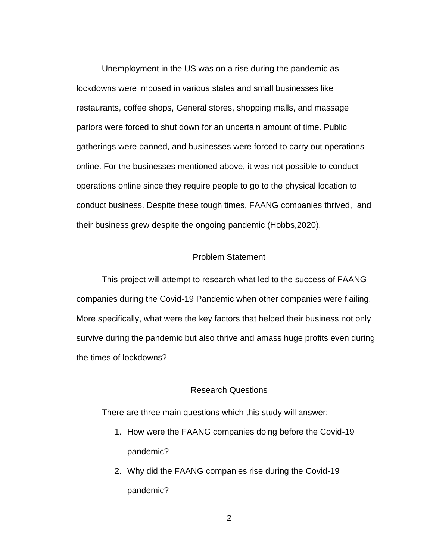Unemployment in the US was on a rise during the pandemic as lockdowns were imposed in various states and small businesses like restaurants, coffee shops, General stores, shopping malls, and massage parlors were forced to shut down for an uncertain amount of time. Public gatherings were banned, and businesses were forced to carry out operations online. For the businesses mentioned above, it was not possible to conduct operations online since they require people to go to the physical location to conduct business. Despite these tough times, FAANG companies thrived, and their business grew despite the ongoing pandemic (Hobbs,2020).

#### Problem Statement

This project will attempt to research what led to the success of FAANG companies during the Covid-19 Pandemic when other companies were flailing. More specifically, what were the key factors that helped their business not only survive during the pandemic but also thrive and amass huge profits even during the times of lockdowns?

#### Research Questions

There are three main questions which this study will answer:

- 1. How were the FAANG companies doing before the Covid-19 pandemic?
- 2. Why did the FAANG companies rise during the Covid-19 pandemic?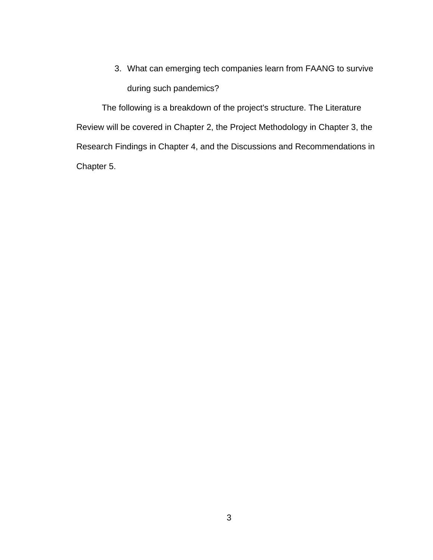3. What can emerging tech companies learn from FAANG to survive during such pandemics?

The following is a breakdown of the project's structure. The Literature Review will be covered in Chapter 2, the Project Methodology in Chapter 3, the Research Findings in Chapter 4, and the Discussions and Recommendations in Chapter 5.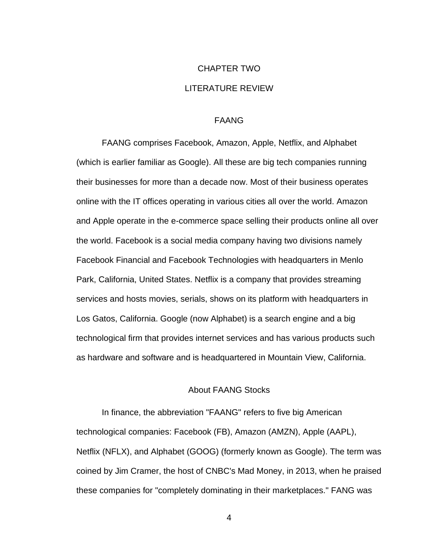# CHAPTER TWO LITERATURE REVIEW

#### FAANG

FAANG comprises Facebook, Amazon, Apple, Netflix, and Alphabet (which is earlier familiar as Google). All these are big tech companies running their businesses for more than a decade now. Most of their business operates online with the IT offices operating in various cities all over the world. Amazon and Apple operate in the e-commerce space selling their products online all over the world. Facebook is a social media company having two divisions namely Facebook Financial and Facebook Technologies with headquarters in Menlo Park, California, United States. Netflix is a company that provides streaming services and hosts movies, serials, shows on its platform with headquarters in Los Gatos, California. Google (now Alphabet) is a search engine and a big technological firm that provides internet services and has various products such as hardware and software and is headquartered in Mountain View, California.

#### About FAANG Stocks

In finance, the abbreviation "FAANG" refers to five big American technological companies: Facebook (FB), Amazon (AMZN), Apple (AAPL), Netflix (NFLX), and Alphabet (GOOG) (formerly known as Google). The term was coined by Jim Cramer, the host of CNBC's Mad Money, in 2013, when he praised these companies for "completely dominating in their marketplaces." FANG was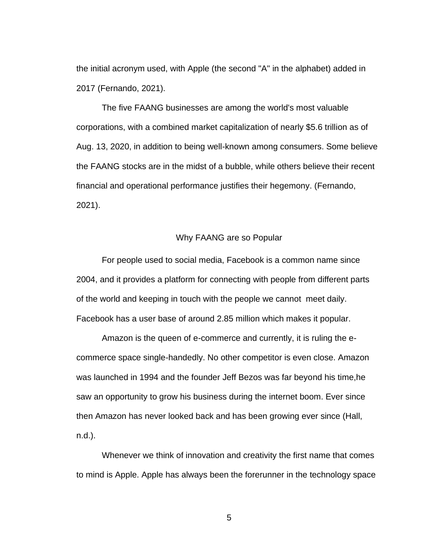the initial acronym used, with Apple (the second "A" in the alphabet) added in 2017 (Fernando, 2021).

The five FAANG businesses are among the world's most valuable corporations, with a combined market capitalization of nearly \$5.6 trillion as of Aug. 13, 2020, in addition to being well-known among consumers. Some believe the FAANG stocks are in the midst of a bubble, while others believe their recent financial and operational performance justifies their hegemony. (Fernando, 2021).

### Why FAANG are so Popular

For people used to social media, Facebook is a common name since 2004, and it provides a platform for connecting with people from different parts of the world and keeping in touch with the people we cannot meet daily. Facebook has a user base of around 2.85 million which makes it popular.

Amazon is the queen of e-commerce and currently, it is ruling the ecommerce space single-handedly. No other competitor is even close. Amazon was launched in 1994 and the founder Jeff Bezos was far beyond his time,he saw an opportunity to grow his business during the internet boom. Ever since then Amazon has never looked back and has been growing ever since (Hall, n.d.).

Whenever we think of innovation and creativity the first name that comes to mind is Apple. Apple has always been the forerunner in the technology space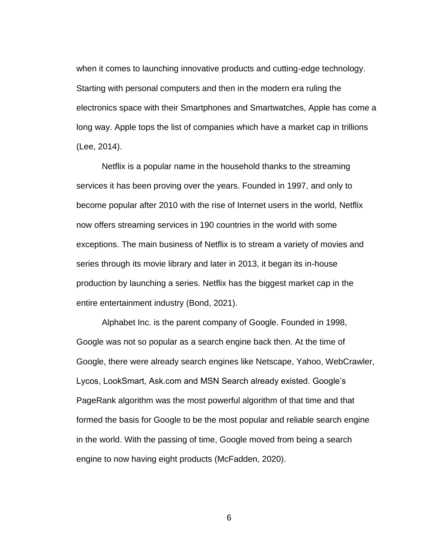when it comes to launching innovative products and cutting-edge technology. Starting with personal computers and then in the modern era ruling the electronics space with their Smartphones and Smartwatches, Apple has come a long way. Apple tops the list of companies which have a market cap in trillions (Lee, 2014).

Netflix is a popular name in the household thanks to the streaming services it has been proving over the years. Founded in 1997, and only to become popular after 2010 with the rise of Internet users in the world, Netflix now offers streaming services in 190 countries in the world with some exceptions. The main business of Netflix is to stream a variety of movies and series through its movie library and later in 2013, it began its in-house production by launching a series. Netflix has the biggest market cap in the entire entertainment industry (Bond, 2021).

Alphabet Inc. is the parent company of Google. Founded in 1998, Google was not so popular as a search engine back then. At the time of Google, there were already search engines like Netscape, Yahoo, WebCrawler, Lycos, LookSmart, Ask.com and MSN Search already existed. Google's PageRank algorithm was the most powerful algorithm of that time and that formed the basis for Google to be the most popular and reliable search engine in the world. With the passing of time, Google moved from being a search engine to now having eight products (McFadden, 2020).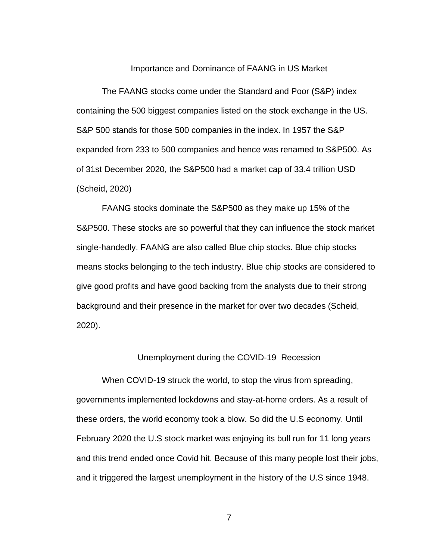Importance and Dominance of FAANG in US Market

The FAANG stocks come under the Standard and Poor (S&P) index containing the 500 biggest companies listed on the stock exchange in the US. S&P 500 stands for those 500 companies in the index. In 1957 the S&P expanded from 233 to 500 companies and hence was renamed to S&P500. As of 31st December 2020, the S&P500 had a market cap of 33.4 trillion USD (Scheid, 2020)

FAANG stocks dominate the S&P500 as they make up 15% of the S&P500. These stocks are so powerful that they can influence the stock market single-handedly. FAANG are also called Blue chip stocks. Blue chip stocks means stocks belonging to the tech industry. Blue chip stocks are considered to give good profits and have good backing from the analysts due to their strong background and their presence in the market for over two decades (Scheid, 2020).

#### Unemployment during the COVID-19 Recession

When COVID-19 struck the world, to stop the virus from spreading, governments implemented lockdowns and stay-at-home orders. As a result of these orders, the world economy took a blow. So did the U.S economy. Until February 2020 the U.S stock market was enjoying its bull run for 11 long years and this trend ended once Covid hit. Because of this many people lost their jobs, and it triggered the largest unemployment in the history of the U.S since 1948.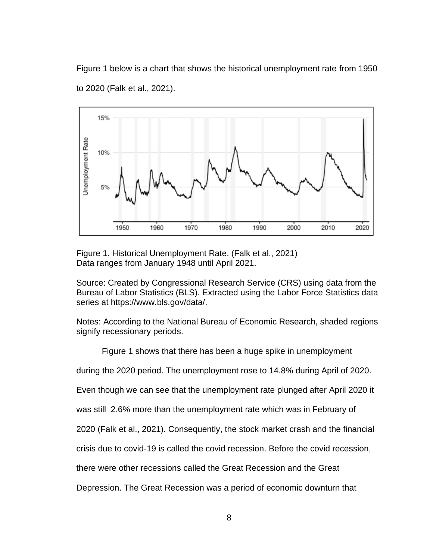Figure 1 below is a chart that shows the historical unemployment rate from 1950 to 2020 (Falk et al., 2021).



<span id="page-18-0"></span>Figure 1. Historical Unemployment Rate. (Falk et al., 2021) Data ranges from January 1948 until April 2021.

Source: Created by Congressional Research Service (CRS) using data from the Bureau of Labor Statistics (BLS). Extracted using the Labor Force Statistics data series at https://www.bls.gov/data/.

Notes: According to the National Bureau of Economic Research, shaded regions signify recessionary periods.

Figure 1 shows that there has been a huge spike in unemployment

during the 2020 period. The unemployment rose to 14.8% during April of 2020.

Even though we can see that the unemployment rate plunged after April 2020 it

was still 2.6% more than the unemployment rate which was in February of

2020 (Falk et al., 2021). Consequently, the stock market crash and the financial

crisis due to covid-19 is called the covid recession. Before the covid recession,

there were other recessions called the Great Recession and the Great

Depression. The Great Recession was a period of economic downturn that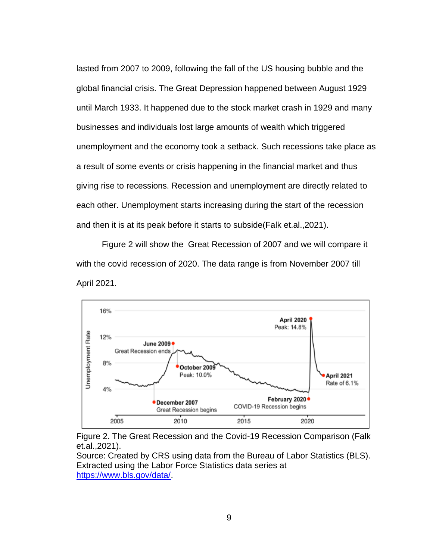lasted from 2007 to 2009, following the fall of the US housing bubble and the global financial crisis. The Great Depression happened between August 1929 until March 1933. It happened due to the stock market crash in 1929 and many businesses and individuals lost large amounts of wealth which triggered unemployment and the economy took a setback. Such recessions take place as a result of some events or crisis happening in the financial market and thus giving rise to recessions. Recession and unemployment are directly related to each other. Unemployment starts increasing during the start of the recession and then it is at its peak before it starts to subside(Falk et.al.,2021).

Figure 2 will show the Great Recession of 2007 and we will compare it with the covid recession of 2020. The data range is from November 2007 till April 2021.



<span id="page-19-0"></span>

Source: Created by CRS using data from the Bureau of Labor Statistics (BLS). Extracted using the Labor Force Statistics data series at [https://www.bls.gov/data/.](https://www.bls.gov/data/)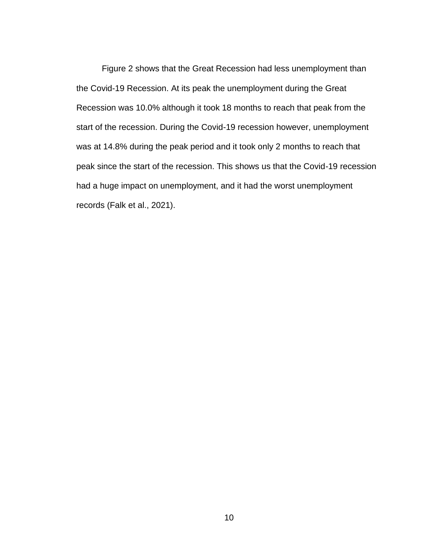Figure 2 shows that the Great Recession had less unemployment than the Covid-19 Recession. At its peak the unemployment during the Great Recession was 10.0% although it took 18 months to reach that peak from the start of the recession. During the Covid-19 recession however, unemployment was at 14.8% during the peak period and it took only 2 months to reach that peak since the start of the recession. This shows us that the Covid-19 recession had a huge impact on unemployment, and it had the worst unemployment records (Falk et al., 2021).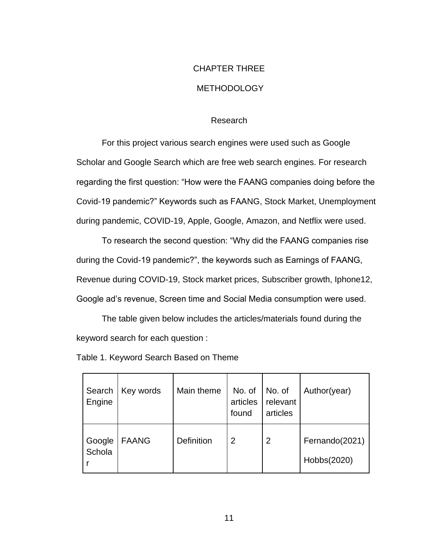# CHAPTER THREE

# METHODOLOGY

### Research

For this project various search engines were used such as Google Scholar and Google Search which are free web search engines. For research regarding the first question: "How were the FAANG companies doing before the Covid-19 pandemic?" Keywords such as FAANG, Stock Market, Unemployment during pandemic, COVID-19, Apple, Google, Amazon, and Netflix were used.

To research the second question: "Why did the FAANG companies rise during the Covid-19 pandemic?", the keywords such as Earnings of FAANG, Revenue during COVID-19, Stock market prices, Subscriber growth, Iphone12, Google ad's revenue, Screen time and Social Media consumption were used.

The table given below includes the articles/materials found during the keyword search for each question :

|  | Table 1. Keyword Search Based on Theme |  |  |  |  |
|--|----------------------------------------|--|--|--|--|
|--|----------------------------------------|--|--|--|--|

| Search<br>Engine | Key words    | Main theme | No. of<br>articles<br>found | No. of<br>relevant<br>articles | Author(year)                  |
|------------------|--------------|------------|-----------------------------|--------------------------------|-------------------------------|
| Google<br>Schola | <b>FAANG</b> | Definition | 2                           | $\overline{2}$                 | Fernando(2021)<br>Hobbs(2020) |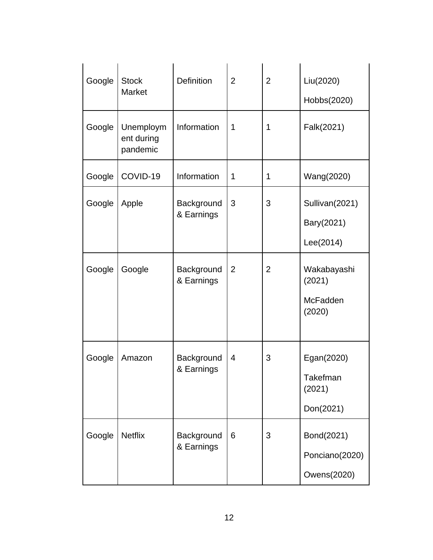| Google | <b>Stock</b><br><b>Market</b>       | <b>Definition</b>        | $\overline{2}$ | $\overline{2}$ | Liu(2020)<br>Hobbs(2020)                      |
|--------|-------------------------------------|--------------------------|----------------|----------------|-----------------------------------------------|
| Google | Unemploym<br>ent during<br>pandemic | Information              | 1              | 1              | Falk(2021)                                    |
| Google | COVID-19                            | Information              | 1              | 1              | Wang(2020)                                    |
| Google | Apple                               | Background<br>& Earnings | 3              | 3              | Sullivan(2021)<br>Bary(2021)<br>Lee(2014)     |
| Google | Google                              | Background<br>& Earnings | $\overline{2}$ | $\overline{2}$ | Wakabayashi<br>(2021)<br>McFadden<br>(2020)   |
| Google | Amazon                              | Background<br>& Earnings | 4              | 3              | Egan(2020)<br>Takefman<br>(2021)<br>Don(2021) |
| Google | <b>Netflix</b>                      | Background<br>& Earnings | 6              | 3              | Bond(2021)<br>Ponciano(2020)<br>Owens(2020)   |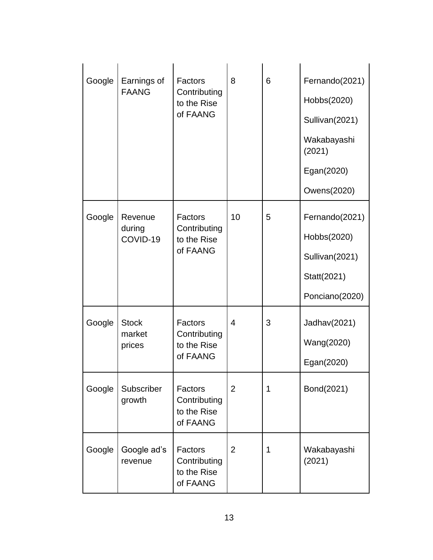| Google | Earnings of<br><b>FAANG</b>      | Factors<br>Contributing<br>to the Rise<br>of FAANG | 8              | 6 | Fernando(2021)<br>Hobbs(2020)<br>Sullivan(2021)<br>Wakabayashi<br>(2021)<br>Egan(2020)<br>Owens(2020) |
|--------|----------------------------------|----------------------------------------------------|----------------|---|-------------------------------------------------------------------------------------------------------|
| Google | Revenue<br>during<br>COVID-19    | Factors<br>Contributing<br>to the Rise<br>of FAANG | 10             | 5 | Fernando(2021)<br>Hobbs(2020)<br>Sullivan(2021)<br>Statt(2021)<br>Ponciano(2020)                      |
| Google | <b>Stock</b><br>market<br>prices | Factors<br>Contributing<br>to the Rise<br>of FAANG | 4              | 3 | Jadhav(2021)<br>Wang(2020)<br>Egan(2020)                                                              |
| Google | Subscriber<br>growth             | Factors<br>Contributing<br>to the Rise<br>of FAANG | $\overline{2}$ | 1 | Bond(2021)                                                                                            |
| Google | Google ad's<br>revenue           | Factors<br>Contributing<br>to the Rise<br>of FAANG | $\overline{2}$ | 1 | Wakabayashi<br>(2021)                                                                                 |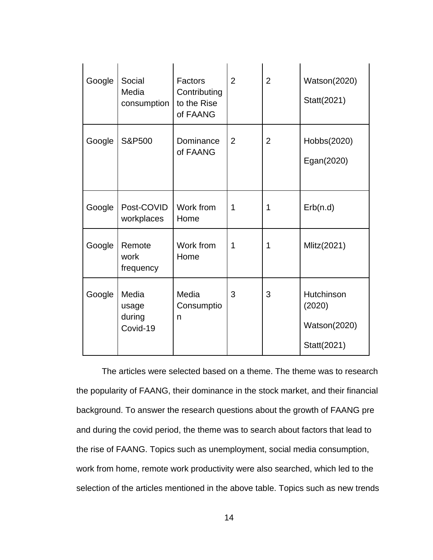| Google | Social<br>Factors<br>Media<br>Contributing<br>to the Rise<br>consumption<br>of FAANG |                          | $\overline{2}$ | $\overline{2}$ | <b>Watson(2020)</b><br>Statt(2021)                         |
|--------|--------------------------------------------------------------------------------------|--------------------------|----------------|----------------|------------------------------------------------------------|
| Google | S&P500                                                                               | Dominance<br>of FAANG    | 2              | $\overline{2}$ | Hobbs(2020)<br>Egan(2020)                                  |
| Google | Post-COVID<br>workplaces                                                             | Work from<br>Home        | 1              | 1              | Erb(n.d)                                                   |
| Google | Remote<br>work<br>frequency                                                          | Work from<br>Home        | 1              | 1              | Mlitz(2021)                                                |
| Google | Media<br>usage<br>during<br>Covid-19                                                 | Media<br>Consumptio<br>n | 3              | 3              | Hutchinson<br>(2020)<br><b>Watson(2020)</b><br>Statt(2021) |

The articles were selected based on a theme. The theme was to research the popularity of FAANG, their dominance in the stock market, and their financial background. To answer the research questions about the growth of FAANG pre and during the covid period, the theme was to search about factors that lead to the rise of FAANG. Topics such as unemployment, social media consumption, work from home, remote work productivity were also searched, which led to the selection of the articles mentioned in the above table. Topics such as new trends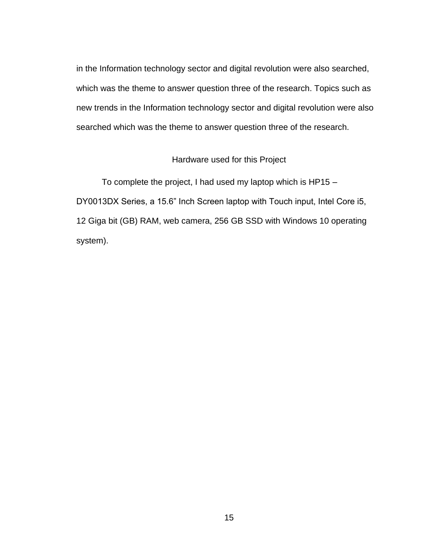in the Information technology sector and digital revolution were also searched, which was the theme to answer question three of the research. Topics such as new trends in the Information technology sector and digital revolution were also searched which was the theme to answer question three of the research.

### Hardware used for this Project

To complete the project, I had used my laptop which is HP15 – DY0013DX Series, a 15.6" Inch Screen laptop with Touch input, Intel Core i5, 12 Giga bit (GB) RAM, web camera, 256 GB SSD with Windows 10 operating system).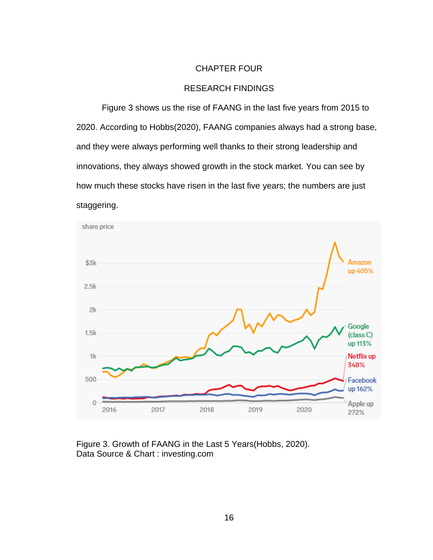#### CHAPTER FOUR

#### RESEARCH FINDINGS

Figure 3 shows us the rise of FAANG in the last five years from 2015 to 2020. According to Hobbs(2020), FAANG companies always had a strong base, and they were always performing well thanks to their strong leadership and innovations, they always showed growth in the stock market. You can see by how much these stocks have risen in the last five years; the numbers are just staggering.



<span id="page-26-0"></span>Figure 3. Growth of FAANG in the Last 5 Years(Hobbs, 2020). Data Source & Chart : investing.com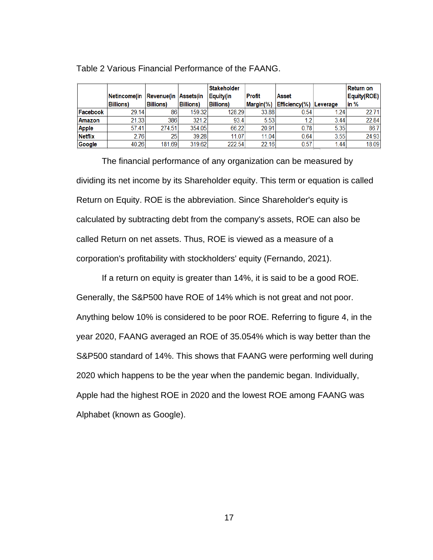|                |                   |                      |                   | <b>Stakeholder</b> |         |                        |      | Return on   |
|----------------|-------------------|----------------------|-------------------|--------------------|---------|------------------------|------|-------------|
|                | Netincome(in      | Revenue(in Assets(in |                   | Equity(in          | Profit  | Asset                  |      | Equity(ROE) |
|                | <b>Billions</b> ) | <b>Billions</b> )    | <b>Billions</b> ) | <b>Billions</b> )  | Margin% | Efficiency(%) Leverage |      | in $%$      |
| Facebook       | 29.14             | 86                   | 159.32            | 128.29             | 33.88   | 0.54                   | 1.24 | 22.71       |
| <b>Amazon</b>  | 21.33             | 386                  | 321.2             | 93.4               | 5.53    |                        | 3.44 | 22.84       |
| <b>Apple</b>   | 57.41             | 274.51               | 354.05            | 66.22              | 20.91   | 0.78                   | 5.35 | 86.7        |
| <b>Netflix</b> | 2.76              | 25 <sub>1</sub>      | 39.28             | 11.07              | 11.04   | 0.64                   | 3.55 | 24.93       |
| Google         | 40.26             | 181.69               | 319.62            | 222.54             | 22.16   | 0.57                   | 1.44 | 18.09       |

Table 2 Various Financial Performance of the FAANG.

The financial performance of any organization can be measured by dividing its net income by its Shareholder equity. This term or equation is called Return on Equity. ROE is the abbreviation. Since Shareholder's equity is calculated by subtracting debt from the company's assets, ROE can also be called Return on net assets. Thus, ROE is viewed as a measure of a corporation's profitability with stockholders' equity (Fernando, 2021).

If a return on equity is greater than 14%, it is said to be a good ROE. Generally, the S&P500 have ROE of 14% which is not great and not poor. Anything below 10% is considered to be poor ROE. Referring to figure 4, in the year 2020, FAANG averaged an ROE of 35.054% which is way better than the S&P500 standard of 14%. This shows that FAANG were performing well during 2020 which happens to be the year when the pandemic began. Individually, Apple had the highest ROE in 2020 and the lowest ROE among FAANG was Alphabet (known as Google).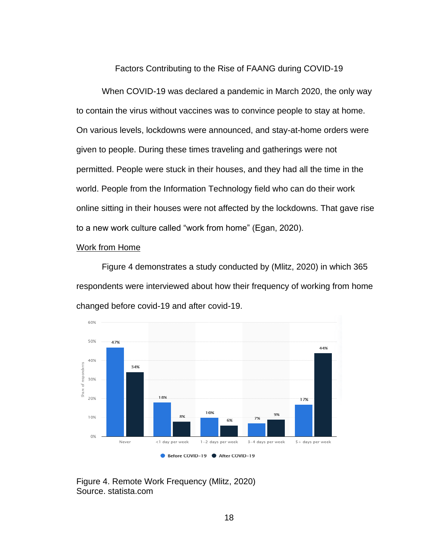Factors Contributing to the Rise of FAANG during COVID-19

When COVID-19 was declared a pandemic in March 2020, the only way to contain the virus without vaccines was to convince people to stay at home. On various levels, lockdowns were announced, and stay-at-home orders were given to people. During these times traveling and gatherings were not permitted. People were stuck in their houses, and they had all the time in the world. People from the Information Technology field who can do their work online sitting in their houses were not affected by the lockdowns. That gave rise to a new work culture called "work from home" (Egan, 2020).

#### Work from Home

Figure 4 demonstrates a study conducted by (Mlitz, 2020) in which 365 respondents were interviewed about how their frequency of working from home changed before covid-19 and after covid-19.



<span id="page-28-0"></span>Figure 4. Remote Work Frequency (Mlitz, 2020) Source. statista.com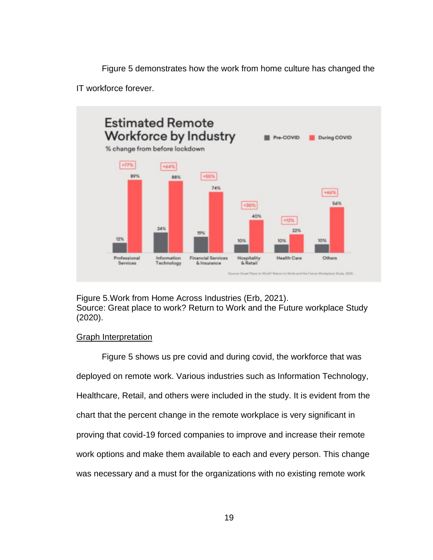Figure 5 demonstrates how the work from home culture has changed the

IT workforce forever.



<span id="page-29-0"></span>Figure 5.Work from Home Across Industries (Erb, 2021). Source: Great place to work? Return to Work and the Future workplace Study (2020).

## Graph Interpretation

Figure 5 shows us pre covid and during covid, the workforce that was deployed on remote work. Various industries such as Information Technology, Healthcare, Retail, and others were included in the study. It is evident from the chart that the percent change in the remote workplace is very significant in proving that covid-19 forced companies to improve and increase their remote work options and make them available to each and every person. This change was necessary and a must for the organizations with no existing remote work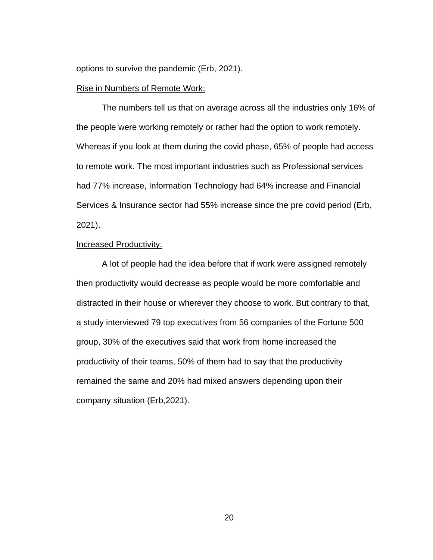options to survive the pandemic (Erb, 2021).

#### Rise in Numbers of Remote Work:

The numbers tell us that on average across all the industries only 16% of the people were working remotely or rather had the option to work remotely. Whereas if you look at them during the covid phase, 65% of people had access to remote work. The most important industries such as Professional services had 77% increase, Information Technology had 64% increase and Financial Services & Insurance sector had 55% increase since the pre covid period (Erb, 2021).

#### Increased Productivity:

A lot of people had the idea before that if work were assigned remotely then productivity would decrease as people would be more comfortable and distracted in their house or wherever they choose to work. But contrary to that, a study interviewed 79 top executives from 56 companies of the Fortune 500 group, 30% of the executives said that work from home increased the productivity of their teams, 50% of them had to say that the productivity remained the same and 20% had mixed answers depending upon their company situation (Erb,2021).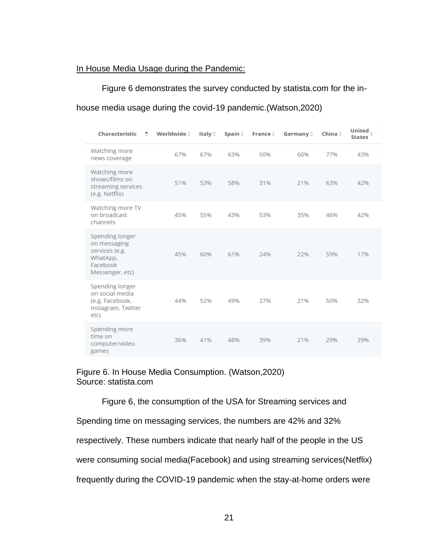### In House Media Usage during the Pandemic:

Figure 6 demonstrates the survey conducted by statista.com for the in-

house media usage during the covid-19 pandemic.(Watson,2020)

| Characteristic                                                                               | ÷ | Worldwide≑ | Italy $\hat{=}$ | Spain ≑ | France $\hat{=}$ | Germany $\hat{=}$ | China <sup><math>\doteq</math></sup> | United.<br><b>States</b> |  |
|----------------------------------------------------------------------------------------------|---|------------|-----------------|---------|------------------|-------------------|--------------------------------------|--------------------------|--|
| Watching more<br>news coverage                                                               |   | 67%        | 67%             | 63%     | 50%              | 60%               | 77%                                  | 43%                      |  |
| Watching more<br>shows/films on<br>streaming services<br>(e.g. Netflix)                      |   | 51%        | 53%             | 58%     | 31%              | 21%               | 63%                                  | 42%                      |  |
| Watching more TV<br>on broadcast<br>channels                                                 |   | 45%        | 55%             | 43%     | 53%              | 35%               | 46%                                  | 42%                      |  |
| Spending longer<br>on messaging<br>services (e.g.<br>WhatApp,<br>Facebook<br>Messenger, etc) |   | 45%        | 60%             | 61%     | 24%              | 22%               | 59%                                  | 17%                      |  |
| Spending longer<br>on social media<br>(e.g. Facebook,<br>Instagram, Twitter<br>etc)          |   | 44%        | 52%             | 49%     | 27%              | 21%               | 50%                                  | 32%                      |  |
| Spending more<br>time on<br>computer/video<br>games                                          |   | 36%        | 41%             | 48%     | 39%              | 21%               | 29%                                  | 29%                      |  |

### <span id="page-31-0"></span>Figure 6. In House Media Consumption. (Watson,2020) Source: statista.com

Figure 6, the consumption of the USA for Streaming services and

Spending time on messaging services, the numbers are 42% and 32%

respectively. These numbers indicate that nearly half of the people in the US

were consuming social media(Facebook) and using streaming services(Netflix)

frequently during the COVID-19 pandemic when the stay-at-home orders were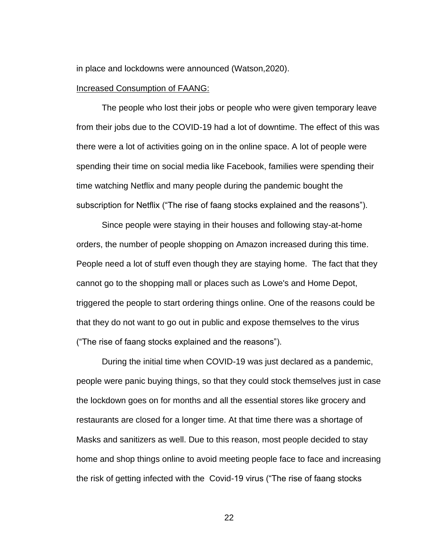in place and lockdowns were announced (Watson,2020).

#### Increased Consumption of FAANG:

The people who lost their jobs or people who were given temporary leave from their jobs due to the COVID-19 had a lot of downtime. The effect of this was there were a lot of activities going on in the online space. A lot of people were spending their time on social media like Facebook, families were spending their time watching Netflix and many people during the pandemic bought the subscription for Netflix ("The rise of faang stocks explained and the reasons").

Since people were staying in their houses and following stay-at-home orders, the number of people shopping on Amazon increased during this time. People need a lot of stuff even though they are staying home. The fact that they cannot go to the shopping mall or places such as Lowe's and Home Depot, triggered the people to start ordering things online. One of the reasons could be that they do not want to go out in public and expose themselves to the virus ("The rise of faang stocks explained and the reasons").

During the initial time when COVID-19 was just declared as a pandemic, people were panic buying things, so that they could stock themselves just in case the lockdown goes on for months and all the essential stores like grocery and restaurants are closed for a longer time. At that time there was a shortage of Masks and sanitizers as well. Due to this reason, most people decided to stay home and shop things online to avoid meeting people face to face and increasing the risk of getting infected with the Covid-19 virus ("The rise of faang stocks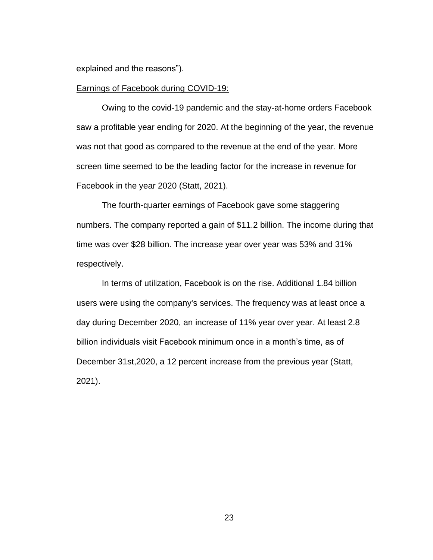explained and the reasons").

#### Earnings of Facebook during COVID-19:

Owing to the covid-19 pandemic and the stay-at-home orders Facebook saw a profitable year ending for 2020. At the beginning of the year, the revenue was not that good as compared to the revenue at the end of the year. More screen time seemed to be the leading factor for the increase in revenue for Facebook in the year 2020 (Statt, 2021).

The fourth-quarter earnings of Facebook gave some staggering numbers. The company reported a gain of \$11.2 billion. The income during that time was over \$28 billion. The increase year over year was 53% and 31% respectively.

In terms of utilization, Facebook is on the rise. Additional 1.84 billion users were using the company's services. The frequency was at least once a day during December 2020, an increase of 11% year over year. At least 2.8 billion individuals visit Facebook minimum once in a month's time, as of December 31st,2020, a 12 percent increase from the previous year (Statt, 2021).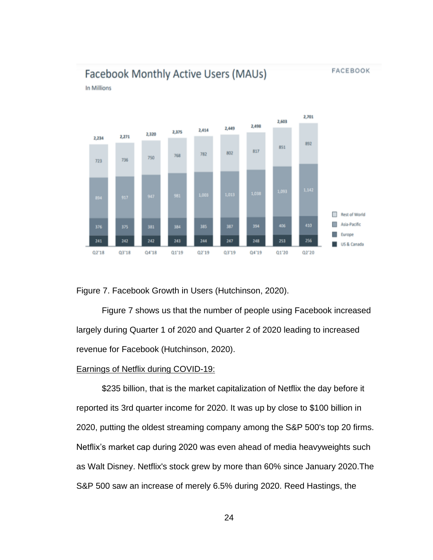**FACEBOOK** 

# Facebook Monthly Active Users (MAUs)

In Millions



<span id="page-34-0"></span>Figure 7. Facebook Growth in Users (Hutchinson, 2020).

Figure 7 shows us that the number of people using Facebook increased largely during Quarter 1 of 2020 and Quarter 2 of 2020 leading to increased revenue for Facebook (Hutchinson, 2020).

#### Earnings of Netflix during COVID-19:

\$235 billion, that is the market capitalization of Netflix the day before it reported its 3rd quarter income for 2020. It was up by close to \$100 billion in 2020, putting the oldest streaming company among the S&P 500's top 20 firms. Netflix's market cap during 2020 was even ahead of media heavyweights such as Walt Disney. Netflix's stock grew by more than 60% since January 2020.The S&P 500 saw an increase of merely 6.5% during 2020. Reed Hastings, the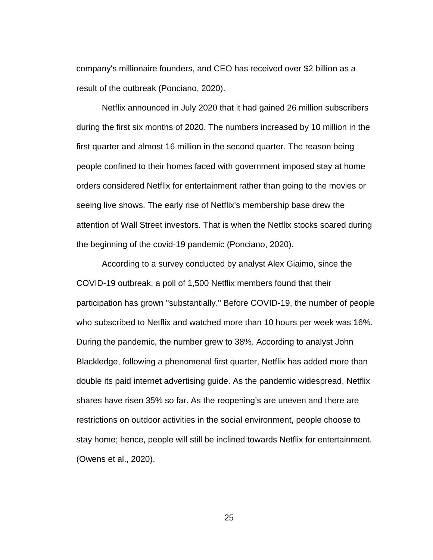company's millionaire founders, and CEO has received over \$2 billion as a result of the outbreak (Ponciano, 2020).

Netflix announced in July 2020 that it had gained 26 million subscribers during the first six months of 2020. The numbers increased by 10 million in the first quarter and almost 16 million in the second quarter. The reason being people confined to their homes faced with government imposed stay at home orders considered Netflix for entertainment rather than going to the movies or seeing live shows. The early rise of Netflix's membership base drew the attention of Wall Street investors. That is when the Netflix stocks soared during the beginning of the covid-19 pandemic (Ponciano, 2020).

According to a survey conducted by analyst Alex Giaimo, since the COVID-19 outbreak, a poll of 1,500 Netflix members found that their participation has grown "substantially." Before COVID-19, the number of people who subscribed to Netflix and watched more than 10 hours per week was 16%. During the pandemic, the number grew to 38%. According to analyst John Blackledge, following a phenomenal first quarter, Netflix has added more than double its paid internet advertising guide. As the pandemic widespread, Netflix shares have risen 35% so far. As the reopening's are uneven and there are restrictions on outdoor activities in the social environment, people choose to stay home; hence, people will still be inclined towards Netflix for entertainment. (Owens et al., 2020).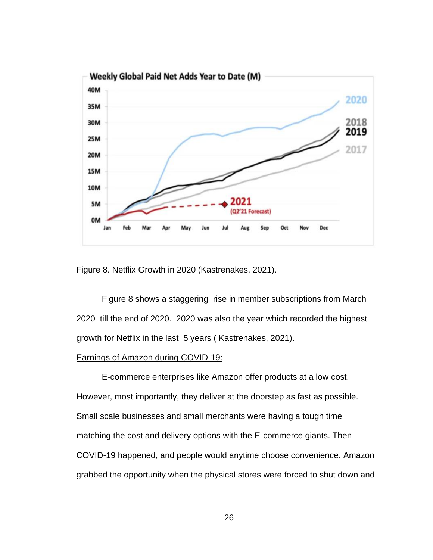

<span id="page-36-0"></span>Figure 8. Netflix Growth in 2020 (Kastrenakes, 2021).

Figure 8 shows a staggering rise in member subscriptions from March 2020 till the end of 2020. 2020 was also the year which recorded the highest growth for Netflix in the last 5 years ( Kastrenakes, 2021).

#### Earnings of Amazon during COVID-19:

E-commerce enterprises like Amazon offer products at a low cost. However, most importantly, they deliver at the doorstep as fast as possible. Small scale businesses and small merchants were having a tough time matching the cost and delivery options with the E-commerce giants. Then COVID-19 happened, and people would anytime choose convenience. Amazon grabbed the opportunity when the physical stores were forced to shut down and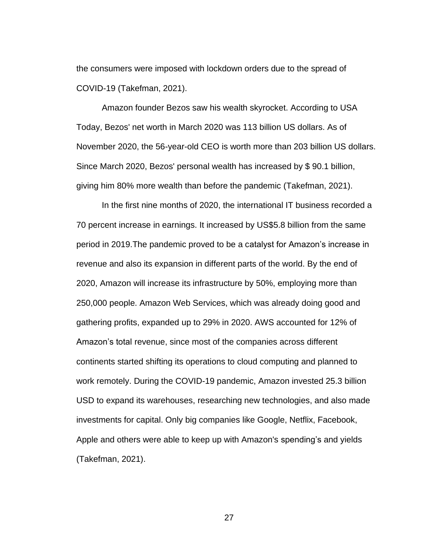the consumers were imposed with lockdown orders due to the spread of COVID-19 (Takefman, 2021).

Amazon founder Bezos saw his wealth skyrocket. According to USA Today, Bezos' net worth in March 2020 was 113 billion US dollars. As of November 2020, the 56-year-old CEO is worth more than 203 billion US dollars. Since March 2020, Bezos' personal wealth has increased by \$ 90.1 billion, giving him 80% more wealth than before the pandemic (Takefman, 2021).

In the first nine months of 2020, the international IT business recorded a 70 percent increase in earnings. It increased by US\$5.8 billion from the same period in 2019.The pandemic proved to be a catalyst for Amazon's increase in revenue and also its expansion in different parts of the world. By the end of 2020, Amazon will increase its infrastructure by 50%, employing more than 250,000 people. Amazon Web Services, which was already doing good and gathering profits, expanded up to 29% in 2020. AWS accounted for 12% of Amazon's total revenue, since most of the companies across different continents started shifting its operations to cloud computing and planned to work remotely. During the COVID-19 pandemic, Amazon invested 25.3 billion USD to expand its warehouses, researching new technologies, and also made investments for capital. Only big companies like Google, Netflix, Facebook, Apple and others were able to keep up with Amazon's spending's and yields (Takefman, 2021).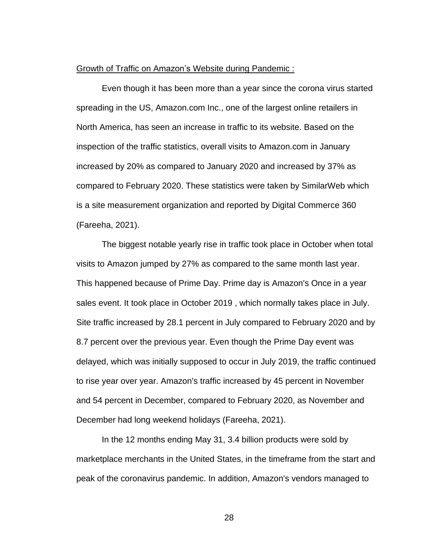#### Growth of Traffic on Amazon's Website during Pandemic :

Even though it has been more than a year since the corona virus started spreading in the US, Amazon.com Inc., one of the largest online retailers in North America, has seen an increase in traffic to its website. Based on the inspection of the traffic statistics, overall visits to Amazon.com in January increased by 20% as compared to January 2020 and increased by 37% as compared to February 2020. These statistics were taken by SimilarWeb which is a site measurement organization and reported by Digital Commerce 360 (Fareeha, 2021).

The biggest notable yearly rise in traffic took place in October when total visits to Amazon jumped by 27% as compared to the same month last year. This happened because of Prime Day. Prime day is Amazon's Once in a year sales event. It took place in October 2019 , which normally takes place in July. Site traffic increased by 28.1 percent in July compared to February 2020 and by 8.7 percent over the previous year. Even though the Prime Day event was delayed, which was initially supposed to occur in July 2019, the traffic continued to rise year over year. Amazon's traffic increased by 45 percent in November and 54 percent in December, compared to February 2020, as November and December had long weekend holidays (Fareeha, 2021).

In the 12 months ending May 31, 3.4 billion products were sold by marketplace merchants in the United States, in the timeframe from the start and peak of the coronavirus pandemic. In addition, Amazon's vendors managed to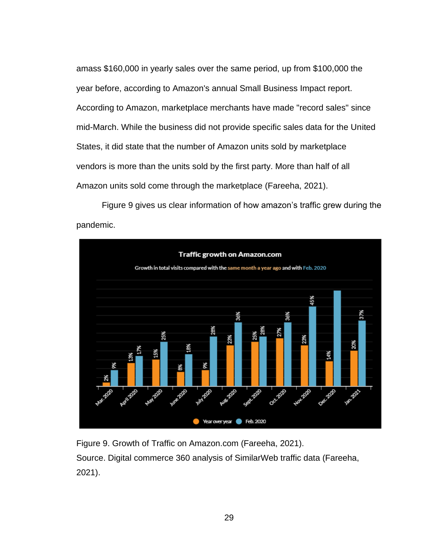amass \$160,000 in yearly sales over the same period, up from \$100,000 the year before, according to Amazon's annual Small Business Impact report. According to Amazon, marketplace merchants have made "record sales" since mid-March. While the business did not provide specific sales data for the United States, it did state that the number of Amazon units sold by marketplace vendors is more than the units sold by the first party. More than half of all Amazon units sold come through the marketplace (Fareeha, 2021).

Figure 9 gives us clear information of how amazon's traffic grew during the pandemic.



<span id="page-39-0"></span>Figure 9. Growth of Traffic on Amazon.com (Fareeha, 2021). Source. Digital commerce 360 analysis of SimilarWeb traffic data (Fareeha, 2021).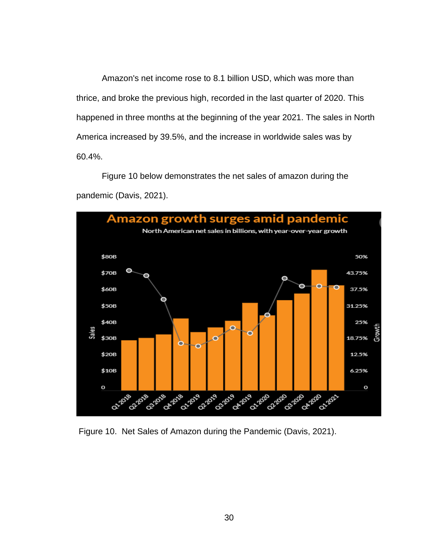Amazon's net income rose to 8.1 billion USD, which was more than thrice, and broke the previous high, recorded in the last quarter of 2020. This happened in three months at the beginning of the year 2021. The sales in North America increased by 39.5%, and the increase in worldwide sales was by 60.4%.

Figure 10 below demonstrates the net sales of amazon during the pandemic (Davis, 2021).



<span id="page-40-0"></span>Figure 10. Net Sales of Amazon during the Pandemic (Davis, 2021).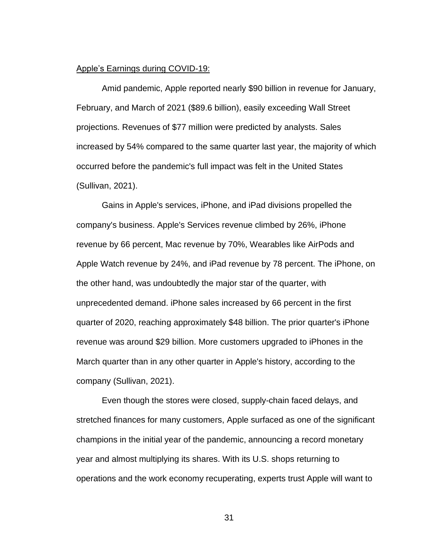#### Apple's Earnings during COVID-19:

Amid pandemic, Apple reported nearly \$90 billion in revenue for January, February, and March of 2021 (\$89.6 billion), easily exceeding Wall Street projections. Revenues of \$77 million were predicted by analysts. Sales increased by 54% compared to the same quarter last year, the majority of which occurred before the pandemic's full impact was felt in the United States (Sullivan, 2021).

Gains in Apple's services, iPhone, and iPad divisions propelled the company's business. Apple's Services revenue climbed by 26%, iPhone revenue by 66 percent, Mac revenue by 70%, Wearables like AirPods and Apple Watch revenue by 24%, and iPad revenue by 78 percent. The iPhone, on the other hand, was undoubtedly the major star of the quarter, with unprecedented demand. iPhone sales increased by 66 percent in the first quarter of 2020, reaching approximately \$48 billion. The prior quarter's iPhone revenue was around \$29 billion. More customers upgraded to iPhones in the March quarter than in any other quarter in Apple's history, according to the company (Sullivan, 2021).

Even though the stores were closed, supply-chain faced delays, and stretched finances for many customers, Apple surfaced as one of the significant champions in the initial year of the pandemic, announcing a record monetary year and almost multiplying its shares. With its U.S. shops returning to operations and the work economy recuperating, experts trust Apple will want to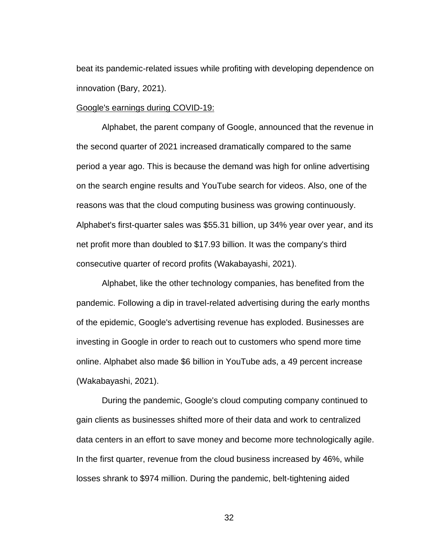beat its pandemic-related issues while profiting with developing dependence on innovation (Bary, 2021).

#### Google's earnings during COVID-19:

Alphabet, the parent company of Google, announced that the revenue in the second quarter of 2021 increased dramatically compared to the same period a year ago. This is because the demand was high for online advertising on the search engine results and YouTube search for videos. Also, one of the reasons was that the cloud computing business was growing continuously. Alphabet's first-quarter sales was \$55.31 billion, up 34% year over year, and its net profit more than doubled to \$17.93 billion. It was the company's third consecutive quarter of record profits (Wakabayashi, 2021).

Alphabet, like the other technology companies, has benefited from the pandemic. Following a dip in travel-related advertising during the early months of the epidemic, Google's advertising revenue has exploded. Businesses are investing in Google in order to reach out to customers who spend more time online. Alphabet also made \$6 billion in YouTube ads, a 49 percent increase (Wakabayashi, 2021).

During the pandemic, Google's cloud computing company continued to gain clients as businesses shifted more of their data and work to centralized data centers in an effort to save money and become more technologically agile. In the first quarter, revenue from the cloud business increased by 46%, while losses shrank to \$974 million. During the pandemic, belt-tightening aided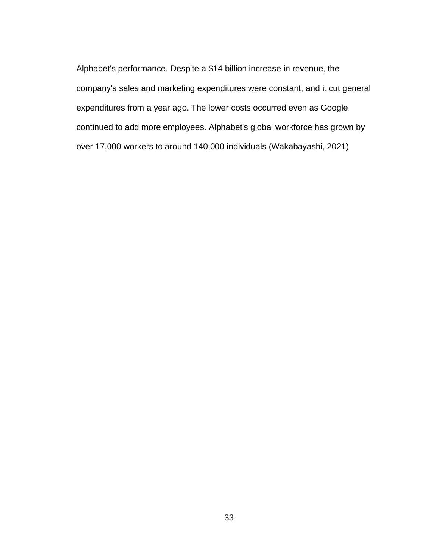Alphabet's performance. Despite a \$14 billion increase in revenue, the company's sales and marketing expenditures were constant, and it cut general expenditures from a year ago. The lower costs occurred even as Google continued to add more employees. Alphabet's global workforce has grown by over 17,000 workers to around 140,000 individuals (Wakabayashi, 2021)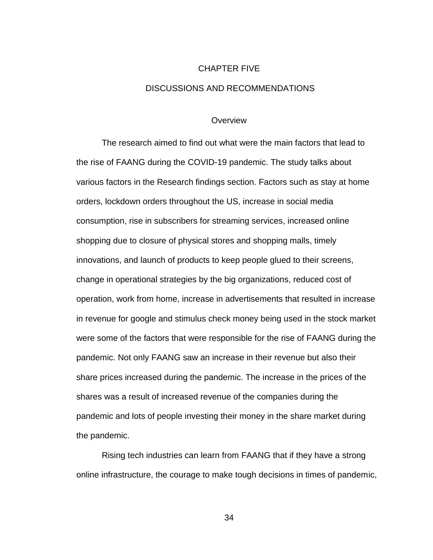# CHAPTER FIVE DISCUSSIONS AND RECOMMENDATIONS

#### **Overview**

The research aimed to find out what were the main factors that lead to the rise of FAANG during the COVID-19 pandemic. The study talks about various factors in the Research findings section. Factors such as stay at home orders, lockdown orders throughout the US, increase in social media consumption, rise in subscribers for streaming services, increased online shopping due to closure of physical stores and shopping malls, timely innovations, and launch of products to keep people glued to their screens, change in operational strategies by the big organizations, reduced cost of operation, work from home, increase in advertisements that resulted in increase in revenue for google and stimulus check money being used in the stock market were some of the factors that were responsible for the rise of FAANG during the pandemic. Not only FAANG saw an increase in their revenue but also their share prices increased during the pandemic. The increase in the prices of the shares was a result of increased revenue of the companies during the pandemic and lots of people investing their money in the share market during the pandemic.

Rising tech industries can learn from FAANG that if they have a strong online infrastructure, the courage to make tough decisions in times of pandemic,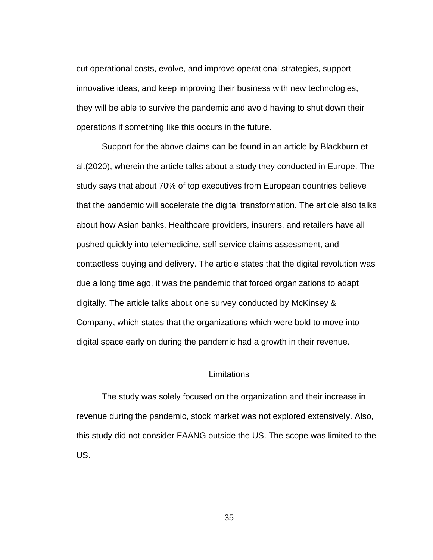cut operational costs, evolve, and improve operational strategies, support innovative ideas, and keep improving their business with new technologies, they will be able to survive the pandemic and avoid having to shut down their operations if something like this occurs in the future.

Support for the above claims can be found in an article by Blackburn et al.(2020), wherein the article talks about a study they conducted in Europe. The study says that about 70% of top executives from European countries believe that the pandemic will accelerate the digital transformation. The article also talks about how Asian banks, Healthcare providers, insurers, and retailers have all pushed quickly into telemedicine, self-service claims assessment, and contactless buying and delivery. The article states that the digital revolution was due a long time ago, it was the pandemic that forced organizations to adapt digitally. The article talks about one survey conducted by McKinsey & Company, which states that the organizations which were bold to move into digital space early on during the pandemic had a growth in their revenue.

### **Limitations**

The study was solely focused on the organization and their increase in revenue during the pandemic, stock market was not explored extensively. Also, this study did not consider FAANG outside the US. The scope was limited to the US.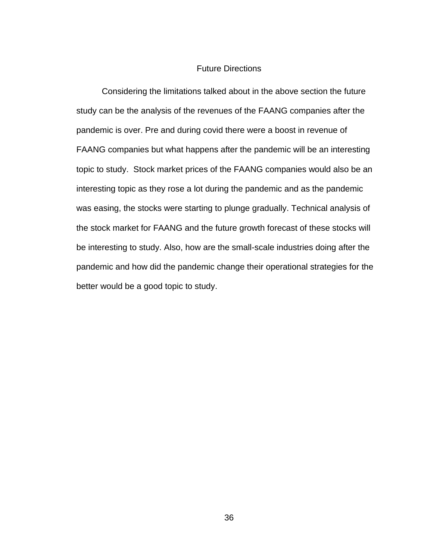#### Future Directions

Considering the limitations talked about in the above section the future study can be the analysis of the revenues of the FAANG companies after the pandemic is over. Pre and during covid there were a boost in revenue of FAANG companies but what happens after the pandemic will be an interesting topic to study. Stock market prices of the FAANG companies would also be an interesting topic as they rose a lot during the pandemic and as the pandemic was easing, the stocks were starting to plunge gradually. Technical analysis of the stock market for FAANG and the future growth forecast of these stocks will be interesting to study. Also, how are the small-scale industries doing after the pandemic and how did the pandemic change their operational strategies for the better would be a good topic to study.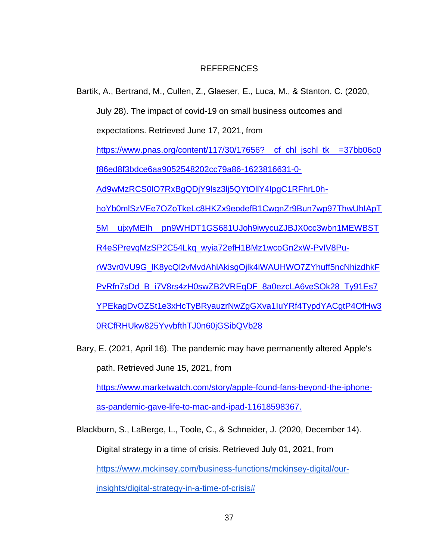### REFERENCES

- Bartik, A., Bertrand, M., Cullen, Z., Glaeser, E., Luca, M., & Stanton, C. (2020, July 28). The impact of covid-19 on small business outcomes and expectations. Retrieved June 17, 2021, from [https://www.pnas.org/content/117/30/17656?\\_\\_cf\\_chl\\_jschl\\_tk\\_\\_=37bb06c0](https://www.pnas.org/content/117/30/17656?__cf_chl_jschl_tk__=37bb06c0f86ed8f3bdce6aa9052548202cc79a86-1623816631-0-Ad9wMzRCS0lO7RxBgQDjY9lsz3lj5QYtOllY4IpgC1RFhrL0h-hoYb0mlSzVEe7OZoTkeLc8HKZx9eodefB1CwgnZr9Bun7wp97ThwUhIApT5M__ujxyMEIh__pn9WHDT1GS681UJoh9iwycuZJBJX0cc3wbn1MEWBSTR4eSPrevqMzSP2C54Lkq_wyia72efH1BMz1wcoGn2xW-PvIV8Pu-rW3vr0VU9G_lK8ycQl2vMvdAhlAkisgOjlk4iWAUHWO7ZYhuff5ncNhizdhkFPvRfn7sDd_B_i7V8rs4zH0swZB2VREqDF_8a0ezcLA6veSOk28_Ty91Es7YPEkagDvOZSt1e3xHcTyBRyauzrNwZgGXva1IuYRf4TypdYACgtP4OfHw30RCfRHUkw825YvvbfthTJ0n60jGSibQVb28) [f86ed8f3bdce6aa9052548202cc79a86-1623816631-0-](https://www.pnas.org/content/117/30/17656?__cf_chl_jschl_tk__=37bb06c0f86ed8f3bdce6aa9052548202cc79a86-1623816631-0-Ad9wMzRCS0lO7RxBgQDjY9lsz3lj5QYtOllY4IpgC1RFhrL0h-hoYb0mlSzVEe7OZoTkeLc8HKZx9eodefB1CwgnZr9Bun7wp97ThwUhIApT5M__ujxyMEIh__pn9WHDT1GS681UJoh9iwycuZJBJX0cc3wbn1MEWBSTR4eSPrevqMzSP2C54Lkq_wyia72efH1BMz1wcoGn2xW-PvIV8Pu-rW3vr0VU9G_lK8ycQl2vMvdAhlAkisgOjlk4iWAUHWO7ZYhuff5ncNhizdhkFPvRfn7sDd_B_i7V8rs4zH0swZB2VREqDF_8a0ezcLA6veSOk28_Ty91Es7YPEkagDvOZSt1e3xHcTyBRyauzrNwZgGXva1IuYRf4TypdYACgtP4OfHw30RCfRHUkw825YvvbfthTJ0n60jGSibQVb28) [Ad9wMzRCS0lO7RxBgQDjY9lsz3lj5QYtOllY4IpgC1RFhrL0h](https://www.pnas.org/content/117/30/17656?__cf_chl_jschl_tk__=37bb06c0f86ed8f3bdce6aa9052548202cc79a86-1623816631-0-Ad9wMzRCS0lO7RxBgQDjY9lsz3lj5QYtOllY4IpgC1RFhrL0h-hoYb0mlSzVEe7OZoTkeLc8HKZx9eodefB1CwgnZr9Bun7wp97ThwUhIApT5M__ujxyMEIh__pn9WHDT1GS681UJoh9iwycuZJBJX0cc3wbn1MEWBSTR4eSPrevqMzSP2C54Lkq_wyia72efH1BMz1wcoGn2xW-PvIV8Pu-rW3vr0VU9G_lK8ycQl2vMvdAhlAkisgOjlk4iWAUHWO7ZYhuff5ncNhizdhkFPvRfn7sDd_B_i7V8rs4zH0swZB2VREqDF_8a0ezcLA6veSOk28_Ty91Es7YPEkagDvOZSt1e3xHcTyBRyauzrNwZgGXva1IuYRf4TypdYACgtP4OfHw30RCfRHUkw825YvvbfthTJ0n60jGSibQVb28)[hoYb0mlSzVEe7OZoTkeLc8HKZx9eodefB1CwgnZr9Bun7wp97ThwUhIApT](https://www.pnas.org/content/117/30/17656?__cf_chl_jschl_tk__=37bb06c0f86ed8f3bdce6aa9052548202cc79a86-1623816631-0-Ad9wMzRCS0lO7RxBgQDjY9lsz3lj5QYtOllY4IpgC1RFhrL0h-hoYb0mlSzVEe7OZoTkeLc8HKZx9eodefB1CwgnZr9Bun7wp97ThwUhIApT5M__ujxyMEIh__pn9WHDT1GS681UJoh9iwycuZJBJX0cc3wbn1MEWBSTR4eSPrevqMzSP2C54Lkq_wyia72efH1BMz1wcoGn2xW-PvIV8Pu-rW3vr0VU9G_lK8ycQl2vMvdAhlAkisgOjlk4iWAUHWO7ZYhuff5ncNhizdhkFPvRfn7sDd_B_i7V8rs4zH0swZB2VREqDF_8a0ezcLA6veSOk28_Ty91Es7YPEkagDvOZSt1e3xHcTyBRyauzrNwZgGXva1IuYRf4TypdYACgtP4OfHw30RCfRHUkw825YvvbfthTJ0n60jGSibQVb28) [5M\\_\\_ujxyMEIh\\_\\_pn9WHDT1GS681UJoh9iwycuZJBJX0cc3wbn1MEWBST](https://www.pnas.org/content/117/30/17656?__cf_chl_jschl_tk__=37bb06c0f86ed8f3bdce6aa9052548202cc79a86-1623816631-0-Ad9wMzRCS0lO7RxBgQDjY9lsz3lj5QYtOllY4IpgC1RFhrL0h-hoYb0mlSzVEe7OZoTkeLc8HKZx9eodefB1CwgnZr9Bun7wp97ThwUhIApT5M__ujxyMEIh__pn9WHDT1GS681UJoh9iwycuZJBJX0cc3wbn1MEWBSTR4eSPrevqMzSP2C54Lkq_wyia72efH1BMz1wcoGn2xW-PvIV8Pu-rW3vr0VU9G_lK8ycQl2vMvdAhlAkisgOjlk4iWAUHWO7ZYhuff5ncNhizdhkFPvRfn7sDd_B_i7V8rs4zH0swZB2VREqDF_8a0ezcLA6veSOk28_Ty91Es7YPEkagDvOZSt1e3xHcTyBRyauzrNwZgGXva1IuYRf4TypdYACgtP4OfHw30RCfRHUkw825YvvbfthTJ0n60jGSibQVb28) [R4eSPrevqMzSP2C54Lkq\\_wyia72efH1BMz1wcoGn2xW-PvIV8Pu](https://www.pnas.org/content/117/30/17656?__cf_chl_jschl_tk__=37bb06c0f86ed8f3bdce6aa9052548202cc79a86-1623816631-0-Ad9wMzRCS0lO7RxBgQDjY9lsz3lj5QYtOllY4IpgC1RFhrL0h-hoYb0mlSzVEe7OZoTkeLc8HKZx9eodefB1CwgnZr9Bun7wp97ThwUhIApT5M__ujxyMEIh__pn9WHDT1GS681UJoh9iwycuZJBJX0cc3wbn1MEWBSTR4eSPrevqMzSP2C54Lkq_wyia72efH1BMz1wcoGn2xW-PvIV8Pu-rW3vr0VU9G_lK8ycQl2vMvdAhlAkisgOjlk4iWAUHWO7ZYhuff5ncNhizdhkFPvRfn7sDd_B_i7V8rs4zH0swZB2VREqDF_8a0ezcLA6veSOk28_Ty91Es7YPEkagDvOZSt1e3xHcTyBRyauzrNwZgGXva1IuYRf4TypdYACgtP4OfHw30RCfRHUkw825YvvbfthTJ0n60jGSibQVb28)[rW3vr0VU9G\\_lK8ycQl2vMvdAhlAkisgOjlk4iWAUHWO7ZYhuff5ncNhizdhkF](https://www.pnas.org/content/117/30/17656?__cf_chl_jschl_tk__=37bb06c0f86ed8f3bdce6aa9052548202cc79a86-1623816631-0-Ad9wMzRCS0lO7RxBgQDjY9lsz3lj5QYtOllY4IpgC1RFhrL0h-hoYb0mlSzVEe7OZoTkeLc8HKZx9eodefB1CwgnZr9Bun7wp97ThwUhIApT5M__ujxyMEIh__pn9WHDT1GS681UJoh9iwycuZJBJX0cc3wbn1MEWBSTR4eSPrevqMzSP2C54Lkq_wyia72efH1BMz1wcoGn2xW-PvIV8Pu-rW3vr0VU9G_lK8ycQl2vMvdAhlAkisgOjlk4iWAUHWO7ZYhuff5ncNhizdhkFPvRfn7sDd_B_i7V8rs4zH0swZB2VREqDF_8a0ezcLA6veSOk28_Ty91Es7YPEkagDvOZSt1e3xHcTyBRyauzrNwZgGXva1IuYRf4TypdYACgtP4OfHw30RCfRHUkw825YvvbfthTJ0n60jGSibQVb28) [PvRfn7sDd\\_B\\_i7V8rs4zH0swZB2VREqDF\\_8a0ezcLA6veSOk28\\_Ty91Es7](https://www.pnas.org/content/117/30/17656?__cf_chl_jschl_tk__=37bb06c0f86ed8f3bdce6aa9052548202cc79a86-1623816631-0-Ad9wMzRCS0lO7RxBgQDjY9lsz3lj5QYtOllY4IpgC1RFhrL0h-hoYb0mlSzVEe7OZoTkeLc8HKZx9eodefB1CwgnZr9Bun7wp97ThwUhIApT5M__ujxyMEIh__pn9WHDT1GS681UJoh9iwycuZJBJX0cc3wbn1MEWBSTR4eSPrevqMzSP2C54Lkq_wyia72efH1BMz1wcoGn2xW-PvIV8Pu-rW3vr0VU9G_lK8ycQl2vMvdAhlAkisgOjlk4iWAUHWO7ZYhuff5ncNhizdhkFPvRfn7sDd_B_i7V8rs4zH0swZB2VREqDF_8a0ezcLA6veSOk28_Ty91Es7YPEkagDvOZSt1e3xHcTyBRyauzrNwZgGXva1IuYRf4TypdYACgtP4OfHw30RCfRHUkw825YvvbfthTJ0n60jGSibQVb28) [YPEkagDvOZSt1e3xHcTyBRyauzrNwZgGXva1IuYRf4TypdYACgtP4OfHw3](https://www.pnas.org/content/117/30/17656?__cf_chl_jschl_tk__=37bb06c0f86ed8f3bdce6aa9052548202cc79a86-1623816631-0-Ad9wMzRCS0lO7RxBgQDjY9lsz3lj5QYtOllY4IpgC1RFhrL0h-hoYb0mlSzVEe7OZoTkeLc8HKZx9eodefB1CwgnZr9Bun7wp97ThwUhIApT5M__ujxyMEIh__pn9WHDT1GS681UJoh9iwycuZJBJX0cc3wbn1MEWBSTR4eSPrevqMzSP2C54Lkq_wyia72efH1BMz1wcoGn2xW-PvIV8Pu-rW3vr0VU9G_lK8ycQl2vMvdAhlAkisgOjlk4iWAUHWO7ZYhuff5ncNhizdhkFPvRfn7sDd_B_i7V8rs4zH0swZB2VREqDF_8a0ezcLA6veSOk28_Ty91Es7YPEkagDvOZSt1e3xHcTyBRyauzrNwZgGXva1IuYRf4TypdYACgtP4OfHw30RCfRHUkw825YvvbfthTJ0n60jGSibQVb28) [0RCfRHUkw825YvvbfthTJ0n60jGSibQVb28](https://www.pnas.org/content/117/30/17656?__cf_chl_jschl_tk__=37bb06c0f86ed8f3bdce6aa9052548202cc79a86-1623816631-0-Ad9wMzRCS0lO7RxBgQDjY9lsz3lj5QYtOllY4IpgC1RFhrL0h-hoYb0mlSzVEe7OZoTkeLc8HKZx9eodefB1CwgnZr9Bun7wp97ThwUhIApT5M__ujxyMEIh__pn9WHDT1GS681UJoh9iwycuZJBJX0cc3wbn1MEWBSTR4eSPrevqMzSP2C54Lkq_wyia72efH1BMz1wcoGn2xW-PvIV8Pu-rW3vr0VU9G_lK8ycQl2vMvdAhlAkisgOjlk4iWAUHWO7ZYhuff5ncNhizdhkFPvRfn7sDd_B_i7V8rs4zH0swZB2VREqDF_8a0ezcLA6veSOk28_Ty91Es7YPEkagDvOZSt1e3xHcTyBRyauzrNwZgGXva1IuYRf4TypdYACgtP4OfHw30RCfRHUkw825YvvbfthTJ0n60jGSibQVb28)
- Bary, E. (2021, April 16). The pandemic may have permanently altered Apple's path. Retrieved June 15, 2021, from [https://www.marketwatch.com/story/apple-found-fans-beyond-the-iphone](https://www.marketwatch.com/story/apple-found-fans-beyond-the-iphone-as-pandemic-gave-life-to-mac-and-ipad-11618598367)[as-pandemic-gave-life-to-mac-and-ipad-11618598367.](https://www.marketwatch.com/story/apple-found-fans-beyond-the-iphone-as-pandemic-gave-life-to-mac-and-ipad-11618598367)

Blackburn, S., LaBerge, L., Toole, C., & Schneider, J. (2020, December 14). Digital strategy in a time of crisis. Retrieved July 01, 2021, from [https://www.mckinsey.com/business-functions/mckinsey-digital/our](https://www.mckinsey.com/business-functions/mckinsey-digital/our-insights/digital-strategy-in-a-time-of-crisis)[insights/digital-strategy-in-a-time-of-crisis#](https://www.mckinsey.com/business-functions/mckinsey-digital/our-insights/digital-strategy-in-a-time-of-crisis)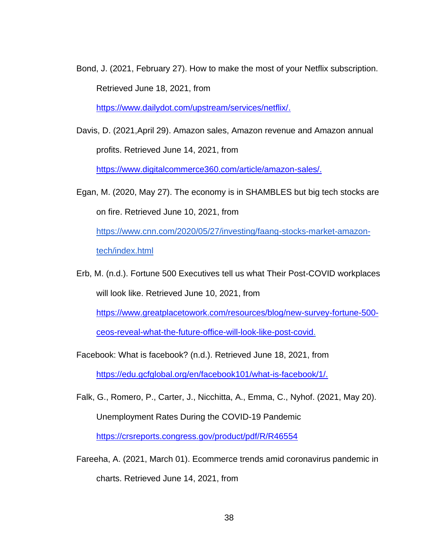Bond, J. (2021, February 27). How to make the most of your Netflix subscription. Retrieved June 18, 2021, from

[https://www.dailydot.com/upstream/services/netflix/.](https://www.dailydot.com/upstream/services/netflix/)

Davis, D. (2021,April 29). Amazon sales, Amazon revenue and Amazon annual profits. Retrieved June 14, 2021, from

[https://www.digitalcommerce360.com/article/amazon-sales/.](https://www.digitalcommerce360.com/article/amazon-sales/)

Egan, M. (2020, May 27). The economy is in SHAMBLES but big tech stocks are on fire. Retrieved June 10, 2021, from

[https://www.cnn.com/2020/05/27/investing/faang-stocks-market-amazon](https://www.cnn.com/2020/05/27/investing/faang-stocks-market-amazon-tech/index.html)[tech/index.html](https://www.cnn.com/2020/05/27/investing/faang-stocks-market-amazon-tech/index.html)

Erb, M. (n.d.). Fortune 500 Executives tell us what Their Post-COVID workplaces will look like. Retrieved June 10, 2021, from

[https://www.greatplacetowork.com/resources/blog/new-survey-fortune-500-](https://www.greatplacetowork.com/resources/blog/new-survey-fortune-500-ceos-reveal-what-the-future-office-will-look-like-post-covid)

[ceos-reveal-what-the-future-office-will-look-like-post-covid.](https://www.greatplacetowork.com/resources/blog/new-survey-fortune-500-ceos-reveal-what-the-future-office-will-look-like-post-covid)

- Facebook: What is facebook? (n.d.). Retrieved June 18, 2021, from [https://edu.gcfglobal.org/en/facebook101/what-is-facebook/1/.](https://edu.gcfglobal.org/en/facebook101/what-is-facebook/1/)
- Falk, G., Romero, P., Carter, J., Nicchitta, A., Emma, C., Nyhof. (2021, May 20). Unemployment Rates During the COVID-19 Pandemic <https://crsreports.congress.gov/product/pdf/R/R46554>
- Fareeha, A. (2021, March 01). Ecommerce trends amid coronavirus pandemic in charts. Retrieved June 14, 2021, from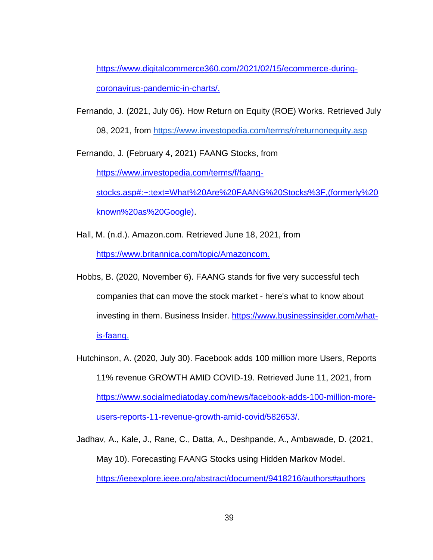[https://www.digitalcommerce360.com/2021/02/15/ecommerce-during](https://www.digitalcommerce360.com/2021/02/15/ecommerce-during-coronavirus-pandemic-in-charts/)[coronavirus-pandemic-in-charts/.](https://www.digitalcommerce360.com/2021/02/15/ecommerce-during-coronavirus-pandemic-in-charts/)

Fernando, J. (2021, July 06). How Return on Equity (ROE) Works. Retrieved July 08, 2021, from<https://www.investopedia.com/terms/r/returnonequity.asp>

Fernando, J. (February 4, 2021) FAANG Stocks, from

[https://www.investopedia.com/terms/f/faang](https://www.investopedia.com/terms/f/faang-stocks.asp#:~:text=What%20Are%20FAANG%20Stocks%3F,(formerly%20known%20as%20Google))[stocks.asp#:~:text=What%20Are%20FAANG%20Stocks%3F,\(formerly%20](https://www.investopedia.com/terms/f/faang-stocks.asp#:~:text=What%20Are%20FAANG%20Stocks%3F,(formerly%20known%20as%20Google)) [known%20as%20Google\).](https://www.investopedia.com/terms/f/faang-stocks.asp#:~:text=What%20Are%20FAANG%20Stocks%3F,(formerly%20known%20as%20Google))

Hall, M. (n.d.). Amazon.com. Retrieved June 18, 2021, from [https://www.britannica.com/topic/Amazoncom.](https://www.britannica.com/topic/Amazoncom)

- Hobbs, B. (2020, November 6). FAANG stands for five very successful tech companies that can move the stock market - here's what to know about investing in them. Business Insider. [https://www.businessinsider.com/what](https://www.businessinsider.com/what-is-faang)[is-faang.](https://www.businessinsider.com/what-is-faang)
- Hutchinson, A. (2020, July 30). Facebook adds 100 million more Users, Reports 11% revenue GROWTH AMID COVID-19. Retrieved June 11, 2021, from [https://www.socialmediatoday.com/news/facebook-adds-100-million-more](https://www.socialmediatoday.com/news/facebook-adds-100-million-more-users-reports-11-revenue-growth-amid-covid/582653/)[users-reports-11-revenue-growth-amid-covid/582653/.](https://www.socialmediatoday.com/news/facebook-adds-100-million-more-users-reports-11-revenue-growth-amid-covid/582653/)

[Jadhav,](https://ieeexplore.ieee.org/author/37088860215) A., [Kale,](https://ieeexplore.ieee.org/author/37088861797) J., [Rane,](https://ieeexplore.ieee.org/author/37088864027) C., [Datta,](https://ieeexplore.ieee.org/author/37088863458) A., [Deshpande,](https://ieeexplore.ieee.org/author/37088860719) A., [Ambawade,](https://ieeexplore.ieee.org/author/37706286500) D. (2021, May 10). Forecasting FAANG Stocks using Hidden Markov Model. <https://ieeexplore.ieee.org/abstract/document/9418216/authors#authors>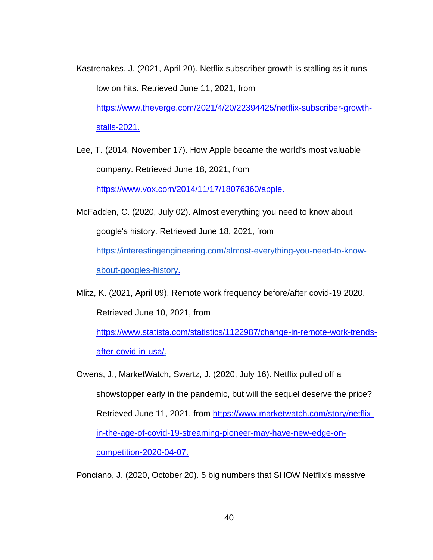- Kastrenakes, J. (2021, April 20). Netflix subscriber growth is stalling as it runs low on hits. Retrieved June 11, 2021, from [https://www.theverge.com/2021/4/20/22394425/netflix-subscriber-growth](https://www.theverge.com/2021/4/20/22394425/netflix-subscriber-growth-stalls-2021)[stalls-2021.](https://www.theverge.com/2021/4/20/22394425/netflix-subscriber-growth-stalls-2021)
- Lee, T. (2014, November 17). How Apple became the world's most valuable company. Retrieved June 18, 2021, from

[https://www.vox.com/2014/11/17/18076360/apple.](https://www.vox.com/2014/11/17/18076360/apple)

- McFadden, C. (2020, July 02). Almost everything you need to know about google's history. Retrieved June 18, 2021, from [https://interestingengineering.com/almost-everything-you-need-to-know](https://interestingengineering.com/almost-everything-you-need-to-know-about-googles-history)[about-googles-history.](https://interestingengineering.com/almost-everything-you-need-to-know-about-googles-history)
- Mlitz, K. (2021, April 09). Remote work frequency before/after covid-19 2020. Retrieved June 10, 2021, from

[https://www.statista.com/statistics/1122987/change-in-remote-work-trends](https://www.statista.com/statistics/1122987/change-in-remote-work-trends-after-covid-in-usa/)[after-covid-in-usa/.](https://www.statista.com/statistics/1122987/change-in-remote-work-trends-after-covid-in-usa/)

Owens, J., MarketWatch, Swartz, J. (2020, July 16). Netflix pulled off a showstopper early in the pandemic, but will the sequel deserve the price? Retrieved June 11, 2021, from [https://www.marketwatch.com/story/netflix](https://www.marketwatch.com/story/netflix-in-the-age-of-covid-19-streaming-pioneer-may-have-new-edge-on-competition-2020-04-07)[in-the-age-of-covid-19-streaming-pioneer-may-have-new-edge-on](https://www.marketwatch.com/story/netflix-in-the-age-of-covid-19-streaming-pioneer-may-have-new-edge-on-competition-2020-04-07)[competition-2020-04-07.](https://www.marketwatch.com/story/netflix-in-the-age-of-covid-19-streaming-pioneer-may-have-new-edge-on-competition-2020-04-07)

Ponciano, J. (2020, October 20). 5 big numbers that SHOW Netflix's massive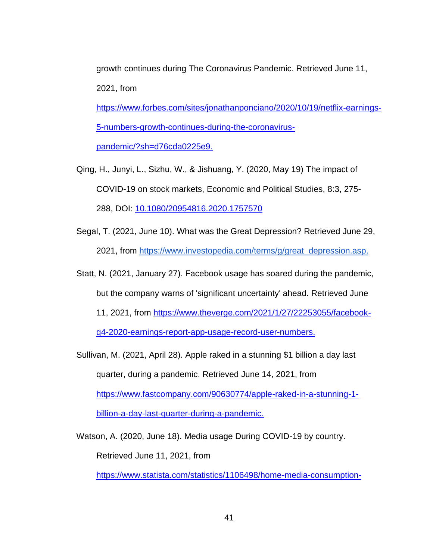growth continues during The Coronavirus Pandemic. Retrieved June 11, 2021, from [https://www.forbes.com/sites/jonathanponciano/2020/10/19/netflix-earnings-](https://www.forbes.com/sites/jonathanponciano/2020/10/19/netflix-earnings-5-numbers-growth-continues-during-the-coronavirus-pandemic/?sh=d76cda0225e9)[5-numbers-growth-continues-during-the-coronavirus](https://www.forbes.com/sites/jonathanponciano/2020/10/19/netflix-earnings-5-numbers-growth-continues-during-the-coronavirus-pandemic/?sh=d76cda0225e9)[pandemic/?sh=d76cda0225e9.](https://www.forbes.com/sites/jonathanponciano/2020/10/19/netflix-earnings-5-numbers-growth-continues-during-the-coronavirus-pandemic/?sh=d76cda0225e9)

- Qing, H., Junyi, L., Sizhu, W., & Jishuang, Y. (2020, May 19) The impact of COVID-19 on stock markets, Economic and Political Studies, 8:3, 275- 288, DOI: [10.1080/20954816.2020.1757570](https://doi.org/10.1080/20954816.2020.1757570)
- Segal, T. (2021, June 10). What was the Great Depression? Retrieved June 29, 2021, from [https://www.investopedia.com/terms/g/great\\_depression.asp.](https://www.investopedia.com/terms/g/great_depression.asp.)

Statt, N. (2021, January 27). Facebook usage has soared during the pandemic, but the company warns of 'significant uncertainty' ahead. Retrieved June 11, 2021, from [https://www.theverge.com/2021/1/27/22253055/facebook](https://www.theverge.com/2021/1/27/22253055/facebook-q4-2020-earnings-report-app-usage-record-user-numbers)[q4-2020-earnings-report-app-usage-record-user-numbers.](https://www.theverge.com/2021/1/27/22253055/facebook-q4-2020-earnings-report-app-usage-record-user-numbers)

Sullivan, M. (2021, April 28). Apple raked in a stunning \$1 billion a day last quarter, during a pandemic. Retrieved June 14, 2021, from [https://www.fastcompany.com/90630774/apple-raked-in-a-stunning-1](https://www.fastcompany.com/90630774/apple-raked-in-a-stunning-1-billion-a-day-last-quarter-during-a-pandemic) [billion-a-day-last-quarter-during-a-pandemic.](https://www.fastcompany.com/90630774/apple-raked-in-a-stunning-1-billion-a-day-last-quarter-during-a-pandemic)

Watson, A. (2020, June 18). Media usage During COVID-19 by country. Retrieved June 11, 2021, from [https://www.statista.com/statistics/1106498/home-media-consumption-](https://www.statista.com/statistics/1106498/home-media-consumption-coronavirus-worldwide-by-country/)